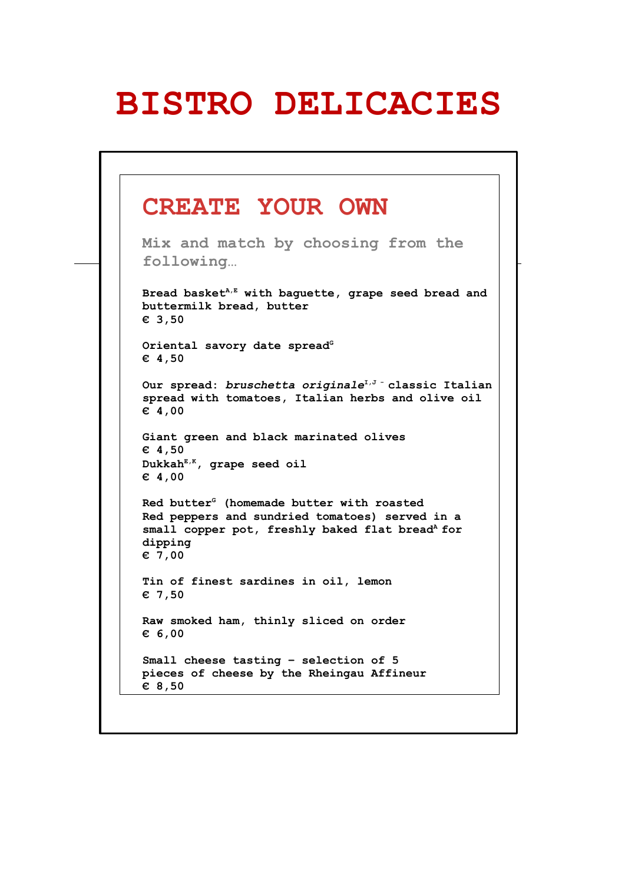## **BISTRO DELICACIES**

#### **CREATE YOUR OWN Mix and match by choosing from the following… Bread basketA,E with baguette, grape seed bread and buttermilk bread, butter € 3,50** Oriental savory date spread<sup>G</sup> **€ 4,50 Our spread:** *bruschetta originale***I,J - classic Italian spread with tomatoes, Italian herbs and olive oil € 4,00 Giant green and black marinated olives € 4,50 DukkahE,K, grape seed oil € 4,00 Red butter<sup>G</sup> (homemade butter with roasted Red peppers and sundried tomatoes) served in a**  small copper pot, freshly baked flat bread<sup>A</sup> for **dipping € 7,00 Tin of finest sardines in oil, lemon € 7,50 Raw smoked ham, thinly sliced on order € 6,00 Small cheese tasting – selection of 5 pieces of cheese by the Rheingau Affineur € 8,50**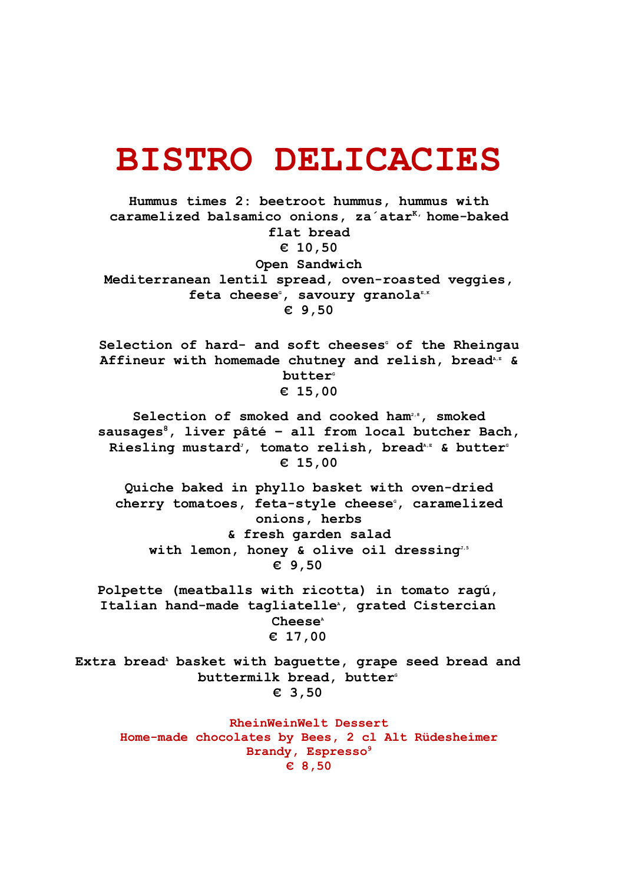### **BISTRO DELICACIES**

**Hummus times 2: beetroot hummus, hummus with caramelized balsamico onions, za´atarK, home-baked flat bread € 10,50 Open Sandwich Mediterranean lentil spread, oven-roasted veggies, feta cheeseG, savoury granolaE,K € 9,50**

Selection of hard- and soft cheeses<sup>*c*</sup> of the Rheingau Affineur with homemade chutney and relish, bread<sup>A,E</sup> & butter<sup>*G*</sup> **€ 15,00**

**Selection of smoked and cooked ham2,8, smoked sausages<sup>8</sup>, liver pâté – all from local butcher Bach,** Riesling mustard<sup>*i*</sup>, tomato relish, bread<sup>*A,E*</sup> & butter<sup>6</sup> **€ 15,00**

**Quiche baked in phyllo basket with oven-dried** cherry tomatoes, feta-style cheese<sup>*c*</sup>, caramelized</sup> **onions, herbs & fresh garden salad** with lemon, honey & olive oil dressing<sup>3,5</sup> **€ 9,50**

**Polpette (meatballs with ricotta) in tomato ragú,** Italian hand-made tagliatelle<sup>*A*</sup>, grated Cistercian Cheese<sup>*A*</sup> **€ 17,00**

Extra bread<sup>*\**</sup> basket with baguette, grape seed bread and buttermilk bread, butter<sup>®</sup> **€ 3,50**

**RheinWeinWelt Dessert Home-made chocolates by Bees, 2 cl Alt Rüdesheimer Brandy, Espresso<sup>9</sup> € 8,50**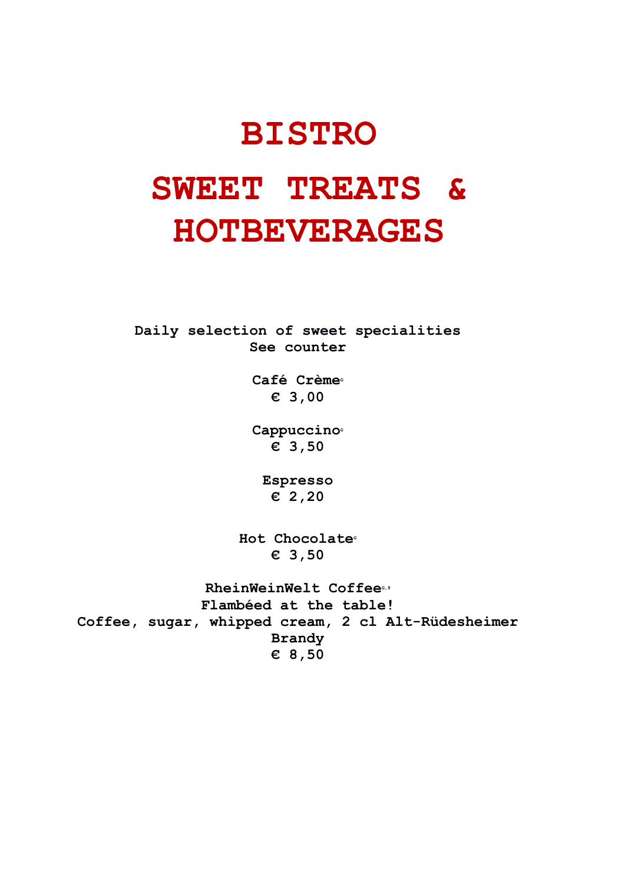# **BISTRO SWEET TREATS & HOTBEVERAGES**

**Daily selection of sweet specialities See counter**

> Café Crème<sup>®</sup> **€ 3,00**

> Cappuccino<sup>®</sup> **€ 3,50**

**Espresso € 2,20**

Hot Chocolate<sup>®</sup> **€ 3,50**

 $RheinWeinWelt$  Coffee<sup>®</sup> **Flambéed at the table! Coffee, sugar, whipped cream, 2 cl Alt-Rüdesheimer Brandy € 8,50**